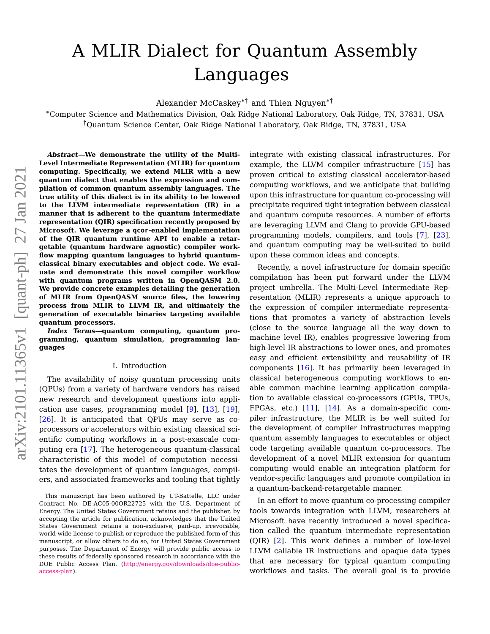# A MLIR Dialect for Quantum Assembly Languages

Alexander McCaskey∗† and Thien Nguyen∗†

<sup>∗</sup>Computer Science and Mathematics Division, Oak Ridge National Laboratory, Oak Ridge, TN, 37831, USA †Quantum Science Center, Oak Ridge National Laboratory, Oak Ridge, TN, 37831, USA

**Abstract—We demonstrate the utility of the Multi-Level Intermediate Representation (MLIR) for quantum computing. Specifically, we extend MLIR with a new quantum dialect that enables the expression and compilation of common quantum assembly languages. The true utility of this dialect is in its ability to be lowered to the LLVM intermediate representation (IR) in a manner that is adherent to the quantum intermediate representation (QIR) specification recently proposed by Microsoft. We leverage a qcor-enabled implementation of the QIR quantum runtime API to enable a retargetable (quantum hardware agnostic) compiler workflow mapping quantum languages to hybrid quantumclassical binary executables and object code. We evaluate and demonstrate this novel compiler workflow with quantum programs written in OpenQASM 2.0. We provide concrete examples detailing the generation of MLIR from OpenQASM source files, the lowering process from MLIR to LLVM IR, and ultimately the generation of executable binaries targeting available quantum processors.**

**Index Terms—quantum computing, quantum programming, quantum simulation, programming languages**

# I. Introduction

The availability of noisy quantum processing units (QPUs) from a variety of hardware vendors has raised new research and development questions into application use cases, programming model [\[9\]](#page-11-0), [\[13\]](#page-11-1), [\[19\]](#page-11-2), [\[26\]](#page-11-3). It is anticipated that QPUs may serve as coprocessors or accelerators within existing classical scientific computing workflows in a post-exascale computing era [\[17\]](#page-11-4). The heterogeneous quantum-classical characteristic of this model of computation necessitates the development of quantum languages, compilers, and associated frameworks and tooling that tightly integrate with existing classical infrastructures. For example, the LLVM compiler infrastructure [\[15\]](#page-11-5) has proven critical to existing classical accelerator-based computing workflows, and we anticipate that building upon this infrastructure for quantum co-processing will precipitate required tight integration between classical and quantum compute resources. A number of efforts are leveraging LLVM and Clang to provide GPU-based programming models, compilers, and tools [\[7\]](#page-11-6), [\[23\]](#page-11-7), and quantum computing may be well-suited to build upon these common ideas and concepts.

Recently, a novel infrastructure for domain specific compilation has been put forward under the LLVM project umbrella. The Multi-Level Intermediate Representation (MLIR) represents a unique approach to the expression of compiler intermediate representations that promotes a variety of abstraction levels (close to the source language all the way down to machine level IR), enables progressive lowering from high-level IR abstractions to lower ones, and promotes easy and efficient extensibility and reusability of IR components [\[16\]](#page-11-8). It has primarily been leveraged in classical heterogeneous computing workflows to enable common machine learning application compilation to available classical co-processors (GPUs, TPUs, FPGAs, etc.)  $[11]$ ,  $[14]$ . As a domain-specific compiler infrastructure, the MLIR is be well suited for the development of compiler infrastructures mapping quantum assembly languages to executables or object code targeting available quantum co-processors. The development of a novel MLIR extension for quantum computing would enable an integration platform for vendor-specific languages and promote compilation in a quantum-backend-retargetable manner.

In an effort to move quantum co-processing compiler tools towards integration with LLVM, researchers at Microsoft have recently introduced a novel specification called the quantum intermediate representation (QIR) [\[2\]](#page-11-11). This work defines a number of low-level LLVM callable IR instructions and opaque data types that are necessary for typical quantum computing workflows and tasks. The overall goal is to provide

This manuscript has been authored by UT-Battelle, LLC under Contract No. DE-AC05-00OR22725 with the U.S. Department of Energy. The United States Government retains and the publisher, by accepting the article for publication, acknowledges that the United States Government retains a non-exclusive, paid-up, irrevocable, world-wide license to publish or reproduce the published form of this manuscript, or allow others to do so, for United States Government purposes. The Department of Energy will provide public access to these results of federally sponsored research in accordance with the DOE Public Access Plan. [\(http://energy.gov/downloads/doe-public](http://energy.gov/downloads/doe-public-access-plan)[access-plan\)](http://energy.gov/downloads/doe-public-access-plan).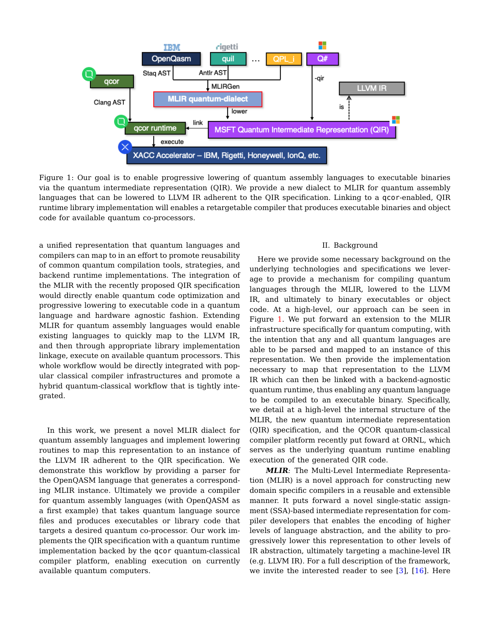<span id="page-1-0"></span>

Figure 1: Our goal is to enable progressive lowering of quantum assembly languages to executable binaries via the quantum intermediate representation (QIR). We provide a new dialect to MLIR for quantum assembly languages that can be lowered to LLVM IR adherent to the QIR specification. Linking to a qcor-enabled, QIR runtime library implementation will enables a retargetable compiler that produces executable binaries and object code for available quantum co-processors.

a unified representation that quantum languages and compilers can map to in an effort to promote reusability of common quantum compilation tools, strategies, and backend runtime implementations. The integration of the MLIR with the recently proposed QIR specification would directly enable quantum code optimization and progressive lowering to executable code in a quantum language and hardware agnostic fashion. Extending MLIR for quantum assembly languages would enable existing languages to quickly map to the LLVM IR, and then through appropriate library implementation linkage, execute on available quantum processors. This whole workflow would be directly integrated with popular classical compiler infrastructures and promote a hybrid quantum-classical workflow that is tightly integrated.

In this work, we present a novel MLIR dialect for quantum assembly languages and implement lowering routines to map this representation to an instance of the LLVM IR adherent to the QIR specification. We demonstrate this workflow by providing a parser for the OpenQASM language that generates a corresponding MLIR instance. Ultimately we provide a compiler for quantum assembly languages (with OpenQASM as a first example) that takes quantum language source files and produces executables or library code that targets a desired quantum co-processor. Our work implements the QIR specification with a quantum runtime implementation backed by the qcor quantum-classical compiler platform, enabling execution on currently available quantum computers.

### II. Background

Here we provide some necessary background on the underlying technologies and specifications we leverage to provide a mechanism for compiling quantum languages through the MLIR, lowered to the LLVM IR, and ultimately to binary executables or object code. At a high-level, our approach can be seen in Figure [1.](#page-1-0) We put forward an extension to the MLIR infrastructure specifically for quantum computing, with the intention that any and all quantum languages are able to be parsed and mapped to an instance of this representation. We then provide the implementation necessary to map that representation to the LLVM IR which can then be linked with a backend-agnostic quantum runtime, thus enabling any quantum language to be compiled to an executable binary. Specifically, we detail at a high-level the internal structure of the MLIR, the new quantum intermediate representation (QIR) specification, and the QCOR quantum-classical compiler platform recently put foward at ORNL, which serves as the underlying quantum runtime enabling execution of the generated QIR code.

**MLIR**: The Multi-Level Intermediate Representation (MLIR) is a novel approach for constructing new domain specific compilers in a reusable and extensible manner. It puts forward a novel single-static assignment (SSA)-based intermediate representation for compiler developers that enables the encoding of higher levels of language abstraction, and the ability to progressively lower this representation to other levels of IR abstraction, ultimately targeting a machine-level IR (e.g. LLVM IR). For a full description of the framework, we invite the interested reader to see [\[3\]](#page-11-12), [\[16\]](#page-11-8). Here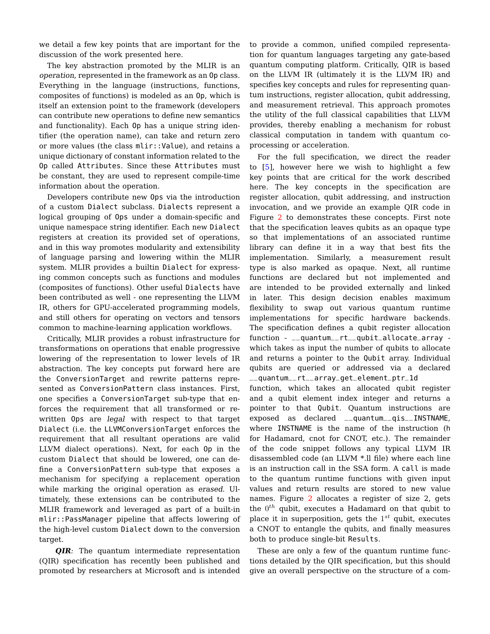we detail a few key points that are important for the discussion of the work presented here.

The key abstraction promoted by the MLIR is an operation, represented in the framework as an Op class. Everything in the language (instructions, functions, composites of functions) is modeled as an Op, which is itself an extension point to the framework (developers can contribute new operations to define new semantics and functionality). Each Op has a unique string identifier (the operation name), can take and return zero or more values (the class mlir::Value), and retains a unique dictionary of constant information related to the Op called Attributes. Since these Attributes must be constant, they are used to represent compile-time information about the operation.

Developers contribute new Ops via the introduction of a custom Dialect subclass. Dialects represent a logical grouping of Ops under a domain-specific and unique namespace string identifier. Each new Dialect registers at creation its provided set of operations, and in this way promotes modularity and extensibility of language parsing and lowering within the MLIR system. MLIR provides a builtin Dialect for expressing common concepts such as functions and modules (composites of functions). Other useful Dialects have been contributed as well - one representing the LLVM IR, others for GPU-accelerated programming models, and still others for operating on vectors and tensors common to machine-learning application workflows.

Critically, MLIR provides a robust infrastructure for transformations on operations that enable progressive lowering of the representation to lower levels of IR abstraction. The key concepts put forward here are the ConversionTarget and rewrite patterns represented as ConversionPattern class instances. First, one specifies a ConversionTarget sub-type that enforces the requirement that all transformed or rewritten Ops are legal with respect to that target Dialect (i.e. the LLVMConversionTarget enforces the requirement that all resultant operations are valid LLVM dialect operations). Next, for each Op in the custom Dialect that should be lowered, one can define a ConversionPattern sub-type that exposes a mechanism for specifying a replacement operation while marking the original operation as erased. Ultimately, these extensions can be contributed to the MLIR framework and leveraged as part of a built-in mlir::PassManager pipeline that affects lowering of the high-level custom Dialect down to the conversion target.

**QIR**: The quantum intermediate representation (QIR) specification has recently been published and promoted by researchers at Microsoft and is intended to provide a common, unified compiled representation for quantum languages targeting any gate-based quantum computing platform. Critically, QIR is based on the LLVM IR (ultimately it is the LLVM IR) and specifies key concepts and rules for representing quantum instructions, register allocation, qubit addressing, and measurement retrieval. This approach promotes the utility of the full classical capabilities that LLVM provides, thereby enabling a mechanism for robust classical computation in tandem with quantum coprocessing or acceleration.

For the full specification, we direct the reader to [\[5\]](#page-11-13), however here we wish to highlight a few key points that are critical for the work described here. The key concepts in the specification are register allocation, qubit addressing, and instruction invocation, and we provide an example QIR code in Figure [2](#page-3-0) to demonstrates these concepts. First note that the specification leaves qubits as an opaque type so that implementations of an associated runtime library can define it in a way that best fits the implementation. Similarly, a measurement result type is also marked as opaque. Next, all runtime functions are declared but not implemented and are intended to be provided externally and linked in later. This design decision enables maximum flexibility to swap out various quantum runtime implementations for specific hardware backends. The specification defines a qubit register allocation function - \_\_quantum\_\_rt\_\_qubit\_allocate\_array which takes as input the number of qubits to allocate and returns a pointer to the Qubit array. Individual qubits are queried or addressed via a declared \_\_quantum\_\_rt\_\_array\_get\_element\_ptr\_1d

function, which takes an allocated qubit register and a qubit element index integer and returns a pointer to that Qubit. Quantum instructions are exposed as declared \_\_quantum\_\_qis\_\_INSTNAME, where INSTNAME is the name of the instruction (h for Hadamard, cnot for CNOT, etc.). The remainder of the code snippet follows any typical LLVM IR disassembled code (an LLVM \*.ll file) where each line is an instruction call in the SSA form. A call is made to the quantum runtime functions with given input values and return results are stored to new value names. Figure [2](#page-3-0) allocates a register of size 2, gets the  $0^{th}$  qubit, executes a Hadamard on that qubit to place it in superposition, gets the  $1^{st}$  qubit, executes a CNOT to entangle the qubits, and finally measures both to produce single-bit Results.

These are only a few of the quantum runtime functions detailed by the QIR specification, but this should give an overall perspective on the structure of a com-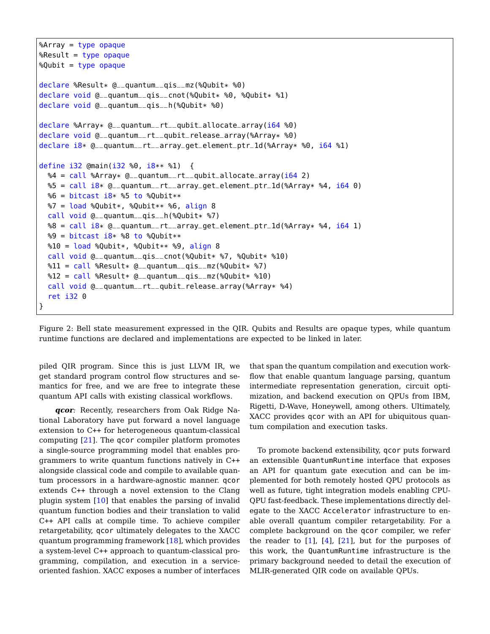```
%Array = type opaque
%Result = type opaque
%Qubit = type opaque
declare %Result* @__quantum__qis__mz(%Qubit* %0)
declare void @__quantum__qis__cnot(%Qubit* %0, %Qubit* %1)
declare void @__quantum__qis__h(%Qubit* %0)
declare %Array* @__quantum__rt__qubit_allocate_array(i64 %0)
declare void @__quantum__rt__qubit_release_array(%Array* %0)
declare i8* @__quantum__rt__array_get_element_ptr_1d(%Array* %0, i64 %1)
define i32 @main(i32 %0, i8** %1) {
  %4 = call %Array* @__quantum__rt__qubit_allocate_array(i64 2)
  S = \text{call } 18* \text{ @__quantum__rt__array\_get__element\_ptr\_ld($~8Array* $4, i64 0)}%6 = \text{bitcast} i8* %5 to %0ubit**
  87 = load %Qubit*, %Qubit** %6, align 8
  call void @__quantum__qis__h(%Qubit* %7)
  88 = \text{call } 18* \text{ @__quantum__rt__array\_get__element\_ptr\_1d($\text{Array} $4, 164 1)}89 = \text{bitcast} i8* 88 \text{ to } 80ubit**
  \$10 = load \$Qubit*, \$Qubit** \$9, align 8
  call void @__quantum__qis__cnot(%Qubit* %7, %Qubit* %10)
  \$11 = \text{call } \$\text{Result} * @ \_\text{quantum } \_\text{qis } \_\text{mz}(\% \text{Qubit} * \$7)812 = \text{call } %Result * @ \_quantum \_qis \_mz({%Qubit* } %10)=\text{f}call void @__quantum__rt__qubit_release_array(%Array* %4)
  ret i32 0
}
```
Figure 2: Bell state measurement expressed in the QIR. Qubits and Results are opaque types, while quantum runtime functions are declared and implementations are expected to be linked in later.

piled QIR program. Since this is just LLVM IR, we get standard program control flow structures and semantics for free, and we are free to integrate these quantum API calls with existing classical workflows.

**qcor**: Recently, researchers from Oak Ridge National Laboratory have put forward a novel language extension to C++ for heterogeneous quantum-classical computing [\[21\]](#page-11-14). The qcor compiler platform promotes a single-source programming model that enables programmers to write quantum functions natively in C++ alongside classical code and compile to available quantum processors in a hardware-agnostic manner. qcor extends C++ through a novel extension to the Clang plugin system [\[10\]](#page-11-15) that enables the parsing of invalid quantum function bodies and their translation to valid C++ API calls at compile time. To achieve compiler retargetability, qcor ultimately delegates to the XACC quantum programming framework [\[18\]](#page-11-16), which provides a system-level C++ approach to quantum-classical programming, compilation, and execution in a serviceoriented fashion. XACC exposes a number of interfaces

that span the quantum compilation and execution workflow that enable quantum language parsing, quantum intermediate representation generation, circuit optimization, and backend execution on QPUs from IBM, Rigetti, D-Wave, Honeywell, among others. Ultimately, XACC provides qcor with an API for ubiquitous quantum compilation and execution tasks.

To promote backend extensibility, qcor puts forward an extensible QuantumRuntime interface that exposes an API for quantum gate execution and can be implemented for both remotely hosted QPU protocols as well as future, tight integration models enabling CPU-QPU fast-feedback. These implementations directly delegate to the XACC Accelerator infrastructure to enable overall quantum compiler retargetability. For a complete background on the qcor compiler, we refer the reader to  $[1]$ ,  $[4]$ ,  $[21]$ , but for the purposes of this work, the QuantumRuntime infrastructure is the primary background needed to detail the execution of MLIR-generated QIR code on available QPUs.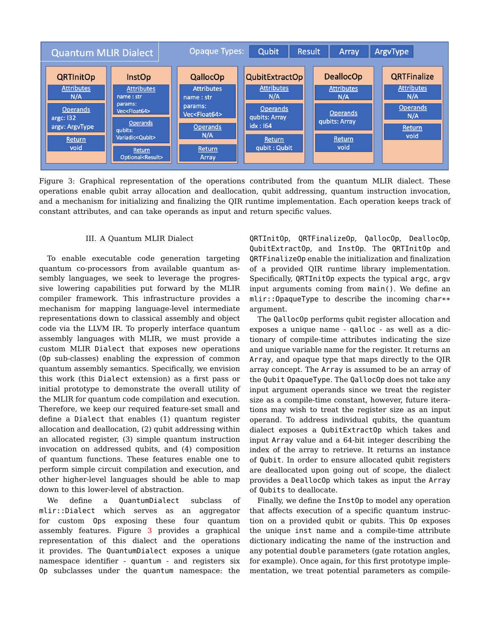<span id="page-4-0"></span>

Figure 3: Graphical representation of the operations contributed from the quantum MLIR dialect. These operations enable qubit array allocation and deallocation, qubit addressing, quantum instruction invocation, and a mechanism for initializing and finalizing the QIR runtime implementation. Each operation keeps track of constant attributes, and can take operands as input and return specific values.

#### III. A Quantum MLIR Dialect

To enable executable code generation targeting quantum co-processors from available quantum assembly languages, we seek to leverage the progressive lowering capabilities put forward by the MLIR compiler framework. This infrastructure provides a mechanism for mapping language-level intermediate representations down to classical assembly and object code via the LLVM IR. To properly interface quantum assembly languages with MLIR, we must provide a custom MLIR Dialect that exposes new operations (Op sub-classes) enabling the expression of common quantum assembly semantics. Specifically, we envision this work (this Dialect extension) as a first pass or initial prototype to demonstrate the overall utility of the MLIR for quantum code compilation and execution. Therefore, we keep our required feature-set small and define a Dialect that enables (1) quantum register allocation and deallocation, (2) qubit addressing within an allocated register, (3) simple quantum instruction invocation on addressed qubits, and (4) composition of quantum functions. These features enable one to perform simple circuit compilation and execution, and other higher-level languages should be able to map down to this lower-level of abstraction.

We define a QuantumDialect subclass of mlir::Dialect which serves as an aggregator for custom Ops exposing these four quantum assembly features. Figure [3](#page-4-0) provides a graphical representation of this dialect and the operations it provides. The QuantumDialect exposes a unique namespace identifier - quantum - and registers six Op subclasses under the quantum namespace: the

QRTInitOp, QRTFinalizeOp, QallocOp, DeallocOp, QubitExtractOp, and InstOp. The QRTInitOp and QRTFinalizeOp enable the initialization and finalization of a provided QIR runtime library implementation. Specifically, QRTInitOp expects the typical argc, argv input arguments coming from main(). We define an mlir::OpaqueType to describe the incoming char\*\* argument.

The QallocOp performs qubit register allocation and exposes a unique name - qalloc - as well as a dictionary of compile-time attributes indicating the size and unique variable name for the register. It returns an Array, and opaque type that maps directly to the QIR array concept. The Array is assumed to be an array of the Qubit OpaqueType. The QallocOp does not take any input argument operands since we treat the register size as a compile-time constant, however, future iterations may wish to treat the register size as an input operand. To address individual qubits, the quantum dialect exposes a QubitExtractOp which takes and input Array value and a 64-bit integer describing the index of the array to retrieve. It returns an instance of Qubit. In order to ensure allocated qubit registers are deallocated upon going out of scope, the dialect provides a DeallocOp which takes as input the Array of Qubits to deallocate.

Finally, we define the InstOp to model any operation that affects execution of a specific quantum instruction on a provided qubit or qubits. This Op exposes the unique inst name and a compile-time attribute dictionary indicating the name of the instruction and any potential double parameters (gate rotation angles, for example). Once again, for this first prototype implementation, we treat potential parameters as compile-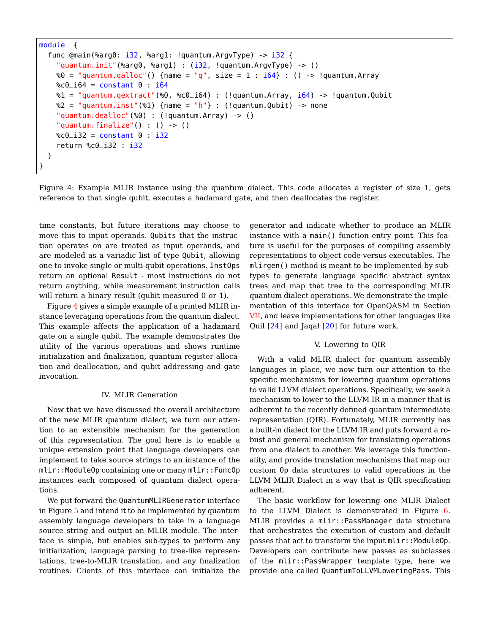```
module {
  func @main(%arg0: i32, %arg1: !quantum.ArgvType) -> i32 {
    "quantum.init"(%arg0, %arg1) : (i32, !quantum.ArgvType) -> ()
    %0 = "quantum.qalloc"() {name = "q", size = 1 : i64} : () -> !quantum.Array
   %c0_{i} i64 = constant 0 : i64
    %1 = "quantum.qextract"(%0, %c0_i64) : (!quantum.Array, i64) -> !quantum.Qubit
    %2 = "quantum.inst"(%1) {name = "h"} : (!quantum.Qubit) -> none
    "quantum.dealloc"(%0) : (!quantum.Array) -> ()
    "quantum.finalize"() : () -> ()%c0_i32 = constant 0 : i32return %c0_i32 : i32
  }
}
```
Figure 4: Example MLIR instance using the quantum dialect. This code allocates a register of size 1, gets reference to that single qubit, executes a hadamard gate, and then deallocates the register.

time constants, but future iterations may choose to move this to input operands. Qubits that the instruction operates on are treated as input operands, and are modeled as a variadic list of type Qubit, allowing one to invoke single or multi-qubit operations. InstOps return an optional Result - most instructions do not return anything, while measurement instruction calls will return a binary result (qubit measured 0 or 1).

Figure [4](#page-5-0) gives a simple example of a printed MLIR instance leveraging operations from the quantum dialect. This example affects the application of a hadamard gate on a single qubit. The example demonstrates the utility of the various operations and shows runtime initialization and finalization, quantum register allocation and deallocation, and qubit addressing and gate invocation.

#### IV. MLIR Generation

<span id="page-5-1"></span>Now that we have discussed the overall architecture of the new MLIR quantum dialect, we turn our attention to an extensible mechanism for the generation of this representation. The goal here is to enable a unique extension point that language developers can implement to take source strings to an instance of the mlir::ModuleOp containing one or many mlir::FuncOp instances each composed of quantum dialect operations.

We put forward the QuantumMLIRGenerator interface in Figure [5](#page-6-0) and intend it to be implemented by quantum assembly language developers to take in a language source string and output an MLIR module. The interface is simple, but enables sub-types to perform any initialization, language parsing to tree-like representations, tree-to-MLIR translation, and any finalization routines. Clients of this interface can initialize the generator and indicate whether to produce an MLIR instance with a main() function entry point. This feature is useful for the purposes of compiling assembly representations to object code versus executables. The mlirgen() method is meant to be implemented by subtypes to generate language specific abstract syntax trees and map that tree to the corresponding MLIR quantum dialect operations. We demonstrate the implementation of this interface for OpenQASM in Section [VII,](#page-8-0) and leave implementations for other languages like Quil [\[24\]](#page-11-19) and Jaqal [\[20\]](#page-11-20) for future work.

# V. Lowering to QIR

With a valid MLIR dialect for quantum assembly languages in place, we now turn our attention to the specific mechanisms for lowering quantum operations to valid LLVM dialect operations. Specifically, we seek a mechanism to lower to the LLVM IR in a manner that is adherent to the recently defined quantum intermediate representation (QIR). Fortunately, MLIR currently has a built-in dialect for the LLVM IR and puts forward a robust and general mechanism for translating operations from one dialect to another. We leverage this functionality, and provide translation mechanisms that map our custom Op data structures to valid operations in the LLVM MLIR Dialect in a way that is QIR specification adherent.

The basic workflow for lowering one MLIR Dialect to the LLVM Dialect is demonstrated in Figure [6.](#page-6-1) MLIR provides a mlir::PassManager data structure that orchestrates the execution of custom and default passes that act to transform the input mlir:: ModuleOp. Developers can contribute new passes as subclasses of the mlir::PassWrapper template type, here we provide one called QuantumToLLVMLoweringPass. This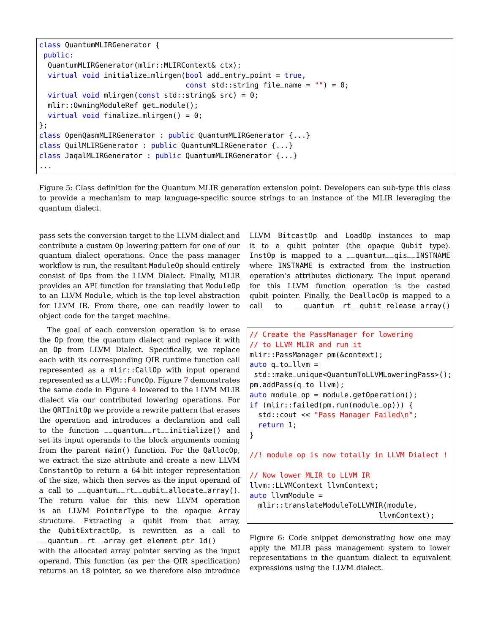```
class QuantumMLIRGenerator {
public:
 QuantumMLIRGenerator(mlir::MLIRContext& ctx);
 virtual void initialize_mlirgen(bool add_entry_point = true,
                                  const std::string file_name = ") = 0;
 virtual void mlirgen(const std::string& src) = 0;
 mlir::OwningModuleRef get_module();
 virtual void finalize_mlirgen() = 0;
};
class OpenQasmMLIRGenerator : public QuantumMLIRGenerator {...}
class QuilMLIRGenerator : public QuantumMLIRGenerator {...}
class JaqalMLIRGenerator : public QuantumMLIRGenerator {...}
...
```
Figure 5: Class definition for the Quantum MLIR generation extension point. Developers can sub-type this class to provide a mechanism to map language-specific source strings to an instance of the MLIR leveraging the quantum dialect.

pass sets the conversion target to the LLVM dialect and contribute a custom Op lowering pattern for one of our quantum dialect operations. Once the pass manager workflow is run, the resultant ModuleOp should entirely consist of Ops from the LLVM Dialect. Finally, MLIR provides an API function for translating that ModuleOp to an LLVM Module, which is the top-level abstraction for LLVM IR. From there, one can readily lower to object code for the target machine.

The goal of each conversion operation is to erase the Op from the quantum dialect and replace it with an Op from LLVM Dialect. Specifically, we replace each with its corresponding QIR runtime function call represented as a mlir::CallOp with input operand represented as a LLVM::FuncOp. Figure [7](#page-7-0) demonstrates the same code in Figure [4](#page-5-0) lowered to the LLVM MLIR dialect via our contributed lowering operations. For the QRTInitOp we provide a rewrite pattern that erases the operation and introduces a declaration and call to the function \_\_quantum\_\_rt\_\_initialize() and set its input operands to the block arguments coming from the parent main() function. For the QallocOp, we extract the size attribute and create a new LLVM ConstantOp to return a 64-bit integer representation of the size, which then serves as the input operand of a call to \_\_quantum\_\_rt\_\_qubit\_allocate\_array(). The return value for this new LLVM operation is an LLVM PointerType to the opaque Array structure. Extracting a qubit from that array, the QubitExtractOp, is rewritten as a call to \_\_quantum\_\_rt\_\_array\_get\_element\_ptr\_1d()

with the allocated array pointer serving as the input operand. This function (as per the QIR specification) returns an i8 pointer, so we therefore also introduce

LLVM BitcastOp and LoadOp instances to map it to a qubit pointer (the opaque Qubit type). InstOp is mapped to a \_\_quantum\_\_qis\_\_INSTNAME where INSTNAME is extracted from the instruction operation's attributes dictionary. The input operand for this LLVM function operation is the casted qubit pointer. Finally, the DeallocOp is mapped to a call to \_\_quantum\_\_rt\_\_qubit\_release\_array()

```
// Create the PassManager for lowering
// to LLVM MLIR and run it
mlir::PassManager pm(&context);
auto q_to_l1vm =std::make_unique<QuantumToLLVMLoweringPass>();
pm.addPass(q_to_llvm);
auto module_op = module.getOperation();
if (mlir::failed(pm.run(module_op))) {
  std::cout << "Pass Manager Failed\n";
  return 1;
}
//! module_op is now totally in LLVM Dialect !
// Now lower MLIR to LLVM IR
llvm::LLVMContext llvmContext;
auto llvmModule =
  mlir::translateModuleToLLVMIR(module,
                              llvmContext);
```
Figure 6: Code snippet demonstrating how one may apply the MLIR pass management system to lower representations in the quantum dialect to equivalent expressions using the LLVM dialect.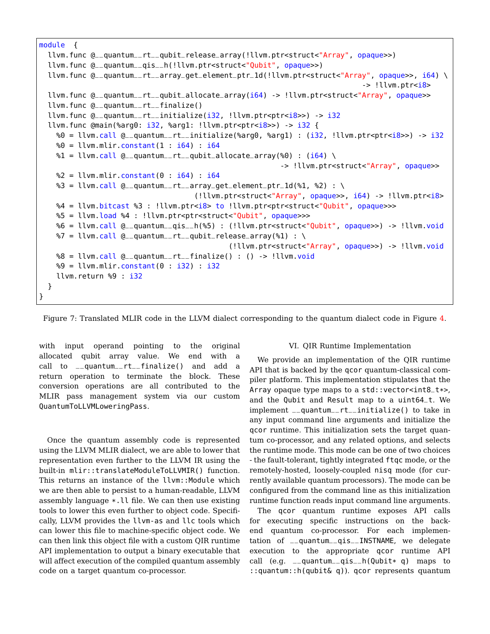```
module {
  llvm.func @__quantum__rt__qubit_release_array(!llvm.ptr<struct<"Array", opaque>>)
  llvm.func @__quantum__qis__h(!llvm.ptr<struct<"Qubit", opaque>>)
  llvm.func @__quantum__rt__array_get_element_ptr_1d(!llvm.ptr<struct<"Array", opaque>>, i64) \
                                                                                 -> !llvm.ptr<i8>
  llvm.func @__quantum__rt__qubit_allocate_array(i64) -> !llvm.ptr<struct<"Array", opaque>>
  llvm.func @__quantum__rt__finalize()
  llvm.func @__quantum__rt__initialize(i32, !llvm.ptr<ptr<i8>>) -> i32
  llvm.func @main(%arg0: i32, %arg1: !llvm.ptr<ptr<i8>>) -> i32 {
    %0 = llvm.call @__quantum__rt__initialize(%arg0, %arg1) : (i32, !llvm.ptr<ptr<i8>>) -> i32
    % 0 = llvm.mlir.constant(1 : i64) : i64\textdegree 1 = \text{lvm}.\text{call} \textcircled{e}_{\text{u}}quantum_{\text{u}}rt_{\text{u}}qubit_{\text{u}}allocate_{\text{u}}array(\textdegree 0) : (i64) \
                                                             -> !llvm.ptr<struct<"Array", opaque>>
    %2 = 11vm.mlir.constant(0 : i64) : i64
    %3 = llvm.call Q_{q}quantum__rt__array_get_element_ptr_1d(%1, %2) : \
                                       (!llvm.ptr<struct<"Array", opaque>>, i64) -> !llvm.ptr<i8>
    %4 = llvm.bitcast %3 : !llvm.ptr<i8> to !llvm.ptr<ptr<struct<"Qubit", opaque>>>
    %5 = llvm.load %4 : !llvm.ptr<ptr<struct<"Qubit", opaque>>>
    %6 = llvm.call @__quantum__qis__h(%5) : (!llvm.ptr<struct<"Qubit", opaque>>) -> !llvm.void
    \frac{1}{2} = llvm.call Q_{q}quantum_rt_qubit_release_array(%1) : \
                                               (!llvm.ptr<struct<"Array", opaque>>) -> !llvm.void
    %8 = llvm.call @__quantum__rt__finalize() : () -> !llvm.void
    %9 = llvm.mlir.constant(0 : i32) : i32llvm.return %9 : i32
  }
}
```
Figure 7: Translated MLIR code in the LLVM dialect corresponding to the quantum dialect code in Figure [4.](#page-5-0)

with input operand pointing to the original allocated qubit array value. We end with a call to \_\_quantum\_\_rt\_\_finalize() and add a return operation to terminate the block. These conversion operations are all contributed to the MLIR pass management system via our custom QuantumToLLVMLoweringPass.

Once the quantum assembly code is represented using the LLVM MLIR dialect, we are able to lower that representation even further to the LLVM IR using the built-in mlir::translateModuleToLLVMIR() function. This returns an instance of the llvm: : Module which we are then able to persist to a human-readable, LLVM assembly language \*.ll file. We can then use existing tools to lower this even further to object code. Specifically, LLVM provides the llvm-as and llc tools which can lower this file to machine-specific object code. We can then link this object file with a custom QIR runtime API implementation to output a binary executable that will affect execution of the compiled quantum assembly code on a target quantum co-processor.

#### VI. QIR Runtime Implementation

We provide an implementation of the QIR runtime API that is backed by the qcor quantum-classical compiler platform. This implementation stipulates that the Array opaque type maps to a std::vector<int8\_t\*>, and the Qubit and Result map to a uint64\_t. We implement \_\_quantum\_\_rt\_\_initialize() to take in any input command line arguments and initialize the qcor runtime. This initialization sets the target quantum co-processor, and any related options, and selects the runtime mode. This mode can be one of two choices - the fault-tolerant, tightly integrated ftqc mode, or the remotely-hosted, loosely-coupled nisq mode (for currently available quantum processors). The mode can be configured from the command line as this initialization runtime function reads input command line arguments.

The qcor quantum runtime exposes API calls for executing specific instructions on the backend quantum co-processor. For each implementation of \_\_quantum\_\_qis\_\_INSTNAME, we delegate execution to the appropriate qcor runtime API call (e.g.  $\text{equantum\_qis\_h}$ (Qubit\* q) maps to ::quantum::h(qubit& q)). qcor represents quantum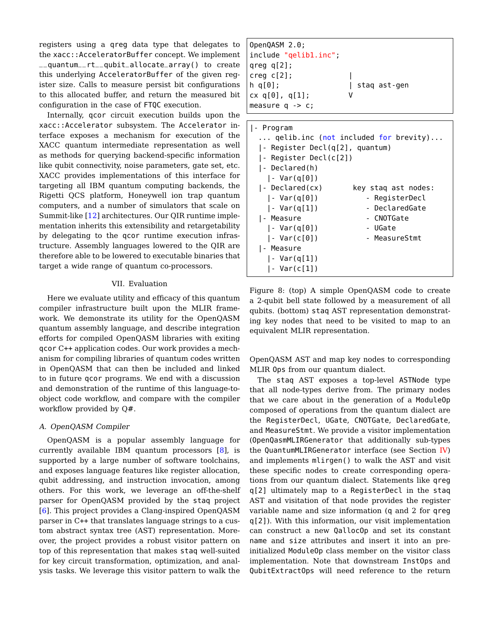registers using a qreg data type that delegates to the xacc::AcceleratorBuffer concept. We implement \_\_quantum\_\_rt\_\_qubit\_allocate\_array() to create this underlying AcceleratorBuffer of the given register size. Calls to measure persist bit configurations to this allocated buffer, and return the measured bit configuration in the case of FTQC execution.

Internally, qcor circuit execution builds upon the xacc::Accelerator subsystem. The Accelerator interface exposes a mechanism for execution of the XACC quantum intermediate representation as well as methods for querying backend-specific information like qubit connectivity, noise parameters, gate set, etc. XACC provides implementations of this interface for targeting all IBM quantum computing backends, the Rigetti QCS platform, Honeywell ion trap quantum computers, and a number of simulators that scale on Summit-like [\[12\]](#page-11-21) architectures. Our QIR runtime implementation inherits this extensibility and retargetability by delegating to the qcor runtime execution infrastructure. Assembly languages lowered to the QIR are therefore able to be lowered to executable binaries that target a wide range of quantum co-processors.

# VII. Evaluation

<span id="page-8-0"></span>Here we evaluate utility and efficacy of this quantum compiler infrastructure built upon the MLIR framework. We demonstrate its utility for the OpenQASM quantum assembly language, and describe integration efforts for compiled OpenQASM libraries with exiting qcor C++ application codes. Our work provides a mechanism for compiling libraries of quantum codes written in OpenQASM that can then be included and linked to in future qcor programs. We end with a discussion and demonstration of the runtime of this language-toobject code workflow, and compare with the compiler workflow provided by Q#.

# A. OpenQASM Compiler

OpenQASM is a popular assembly language for currently available IBM quantum processors [\[8\]](#page-11-22), is supported by a large number of software toolchains, and exposes language features like register allocation, qubit addressing, and instruction invocation, among others. For this work, we leverage an off-the-shelf parser for OpenQASM provided by the staq project [\[6\]](#page-11-23). This project provides a Clang-inspired OpenQASM parser in C++ that translates language strings to a custom abstract syntax tree (AST) representation. Moreover, the project provides a robust visitor pattern on top of this representation that makes staq well-suited for key circuit transformation, optimization, and analysis tasks. We leverage this visitor pattern to walk the

<span id="page-8-1"></span>

| OpenQASM 2.0;<br> include "gelibl.inc"; |              |
|-----------------------------------------|--------------|
| $ $ qreq q[2];                          |              |
| creg C[2];                              |              |
| $\ln$ q[ $\theta$ ];                    | stag ast-gen |
| cx q[0], q[1];                          | v            |
| $ measure q \rightarrow c;$             |              |

| qelib.inc ( <mark>not</mark> included for brevity) |  |  |  |  |  |
|----------------------------------------------------|--|--|--|--|--|
| - Register Decl(q[2], quantum)                     |  |  |  |  |  |
| - Register Decl(c[2])                              |  |  |  |  |  |
|                                                    |  |  |  |  |  |
|                                                    |  |  |  |  |  |
| key stag ast nodes:                                |  |  |  |  |  |
| - RegisterDecl                                     |  |  |  |  |  |
| - DeclaredGate                                     |  |  |  |  |  |
| - CNOTGate                                         |  |  |  |  |  |
| - UGate                                            |  |  |  |  |  |
| - MeasureStmt                                      |  |  |  |  |  |
|                                                    |  |  |  |  |  |
|                                                    |  |  |  |  |  |
|                                                    |  |  |  |  |  |
|                                                    |  |  |  |  |  |

Figure 8: (top) A simple OpenQASM code to create a 2-qubit bell state followed by a measurement of all qubits. (bottom) staq AST representation demonstrating key nodes that need to be visited to map to an equivalent MLIR representation.

OpenQASM AST and map key nodes to corresponding MLIR Ops from our quantum dialect.

The staq AST exposes a top-level ASTNode type that all node-types derive from. The primary nodes that we care about in the generation of a ModuleOp composed of operations from the quantum dialect are the RegisterDecl, UGate, CNOTGate, DeclaredGate, and MeasureStmt. We provide a visitor implementation (OpenQasmMLIRGenerator that additionally sub-types the QuantumMLIRGenerator interface (see Section [IV\)](#page-5-1) and implements mlirgen() to walk the AST and visit these specific nodes to create corresponding operations from our quantum dialect. Statements like qreg q[2] ultimately map to a RegisterDecl in the staq AST and visitation of that node provides the register variable name and size information (q and 2 for qreg q[2]). With this information, our visit implementation can construct a new QallocOp and set its constant name and size attributes and insert it into an preinitialized ModuleOp class member on the visitor class implementation. Note that downstream InstOps and QubitExtractOps will need reference to the return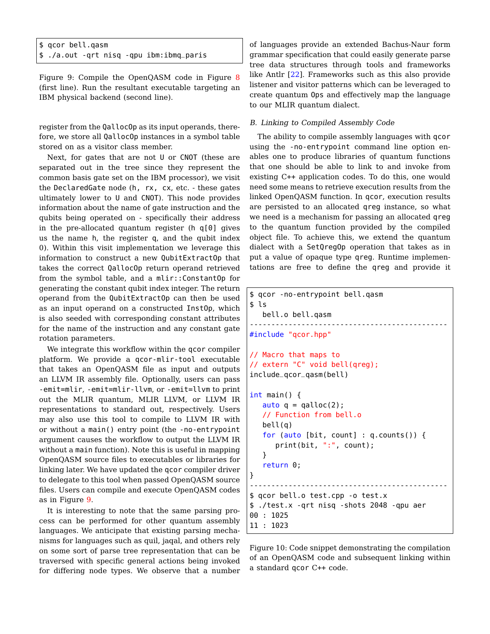<span id="page-9-0"></span>

| \$ qcor bell.qasm |  |  |  |                                          |  |  |
|-------------------|--|--|--|------------------------------------------|--|--|
|                   |  |  |  | \$ ./a.out -qrt nisq -qpu ibm:ibmq_paris |  |  |

Figure 9: Compile the OpenQASM code in Figure [8](#page-8-1) (first line). Run the resultant executable targeting an IBM physical backend (second line).

register from the QallocOp as its input operands, therefore, we store all QallocOp instances in a symbol table stored on as a visitor class member.

Next, for gates that are not U or CNOT (these are separated out in the tree since they represent the common basis gate set on the IBM processor), we visit the DeclaredGate node (h, rx, cx, etc. - these gates ultimately lower to U and CNOT). This node provides information about the name of gate instruction and the qubits being operated on - specifically their address in the pre-allocated quantum register (h q[0] gives us the name h, the register q, and the qubit index 0). Within this visit implementation we leverage this information to construct a new QubitExtractOp that takes the correct QallocOp return operand retrieved from the symbol table, and a mlir::ConstantOp for generating the constant qubit index integer. The return operand from the QubitExtractOp can then be used as an input operand on a constructed InstOp, which is also seeded with corresponding constant attributes for the name of the instruction and any constant gate rotation parameters.

We integrate this workflow within the qcor compiler platform. We provide a qcor-mlir-tool executable that takes an OpenQASM file as input and outputs an LLVM IR assembly file. Optionally, users can pass -emit=mlir, -emit=mlir-llvm, or -emit=llvm to print out the MLIR quantum, MLIR LLVM, or LLVM IR representations to standard out, respectively. Users may also use this tool to compile to LLVM IR with or without a main() entry point (the -no-entrypoint argument causes the workflow to output the LLVM IR without a main function). Note this is useful in mapping OpenQASM source files to executables or libraries for linking later. We have updated the qcor compiler driver to delegate to this tool when passed OpenQASM source files. Users can compile and execute OpenQASM codes as in Figure [9.](#page-9-0)

It is interesting to note that the same parsing process can be performed for other quantum assembly languages. We anticipate that existing parsing mechanisms for languages such as quil, jaqal, and others rely on some sort of parse tree representation that can be traversed with specific general actions being invoked for differing node types. We observe that a number

of languages provide an extended Bachus-Naur form grammar specification that could easily generate parse tree data structures through tools and frameworks like Antlr [\[22\]](#page-11-24). Frameworks such as this also provide listener and visitor patterns which can be leveraged to create quantum Ops and effectively map the language to our MLIR quantum dialect.

## <span id="page-9-2"></span>B. Linking to Compiled Assembly Code

The ability to compile assembly languages with qcor using the -no-entrypoint command line option enables one to produce libraries of quantum functions that one should be able to link to and invoke from existing C++ application codes. To do this, one would need some means to retrieve execution results from the linked OpenQASM function. In qcor, execution results are persisted to an allocated qreg instance, so what we need is a mechanism for passing an allocated qreg to the quantum function provided by the compiled object file. To achieve this, we extend the quantum dialect with a SetQregOp operation that takes as in put a value of opaque type qreg. Runtime implementations are free to define the qreg and provide it

```
$ qcor -no-entrypoint bell.qasm
$ ls
   bell.o bell.qasm
----------------------------------------------
#include "qcor.hpp"
// Macro that maps to
// extern "C" void bell(qreg);
include_qcor_qasm(bell)
int main() {
   auto q = qalloc(2);
   // Function from bell.o
   bell(q)
   for (auto [bit, count] : q.counts()) {
      print(bit, ":", count);
   }
   return 0;
}
----------------------------------------------
$ qcor bell.o test.cpp -o test.x
$ ./test.x -qrt nisq -shots 2048 -qpu aer
00 : 1025
11 : 1023
```
Figure 10: Code snippet demonstrating the compilation of an OpenQASM code and subsequent linking within a standard qcor C++ code.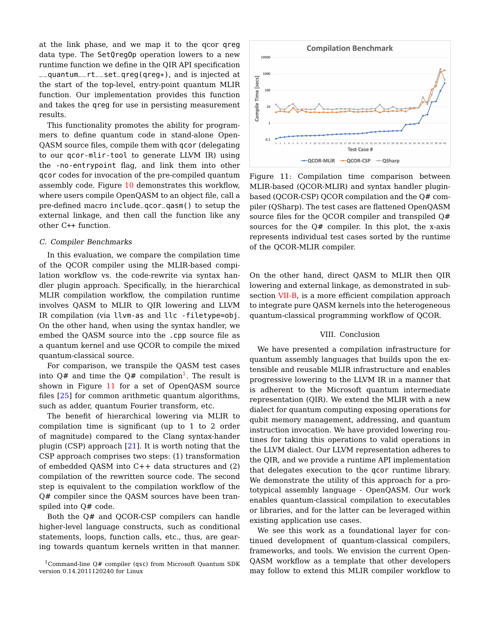at the link phase, and we map it to the qcor qreg data type. The SetQregOp operation lowers to a new runtime function we define in the QIR API specification \_\_quantum\_\_rt\_\_set\_qreg(qreg\*), and is injected at the start of the top-level, entry-point quantum MLIR function. Our implementation provides this function and takes the qreg for use in persisting measurement results.

This functionality promotes the ability for programmers to define quantum code in stand-alone Open-QASM source files, compile them with qcor (delegating to our qcor-mlir-tool to generate LLVM IR) using the -no-entrypoint flag, and link them into other qcor codes for invocation of the pre-compiled quantum assembly code. Figure [10](#page-9-1) demonstrates this workflow, where users compile OpenQASM to an object file, call a pre-defined macro include\_qcor\_qasm() to setup the external linkage, and then call the function like any other C++ function.

#### C. Compiler Benchmarks

In this evaluation, we compare the compilation time of the QCOR compiler using the MLIR-based compilation workflow vs. the code-rewrite via syntax handler plugin approach. Specifically, in the hierarchical MLIR compilation workflow, the compilation runtime involves QASM to MLIR to QIR lowering and LLVM IR compilation (via llvm-as and llc -filetype=obj. On the other hand, when using the syntax handler, we embed the QASM source into the .cpp source file as a quantum kernel and use QCOR to compile the mixed quantum-classical source.

For comparison, we transpile the QASM test cases into Q# and time the Q# compilation<sup>[1](#page-10-0)</sup>. The result is shown in Figure [11](#page-10-1) for a set of OpenQASM source files [\[25\]](#page-11-25) for common arithmetic quantum algorithms, such as adder, quantum Fourier transform, etc.

The benefit of hierarchical lowering via MLIR to compilation time is significant (up to 1 to 2 order of magnitude) compared to the Clang syntax-hander plugin (CSP) approach [\[21\]](#page-11-14). It is worth noting that the CSP approach comprises two steps: (1) transformation of embedded QASM into C++ data structures and (2) compilation of the rewritten source code. The second step is equivalent to the compilation workflow of the Q# compiler since the QASM sources have been transpiled into Q# code.

Both the Q# and QCOR-CSP compilers can handle higher-level language constructs, such as conditional statements, loops, function calls, etc., thus, are gearing towards quantum kernels written in that manner.

<span id="page-10-1"></span>

Figure 11: Compilation time comparison between MLIR-based (QCOR-MLIR) and syntax handler pluginbased (QCOR-CSP) QCOR compilation and the Q# compiler (QSharp). The test cases are flattened OpenQASM source files for the QCOR compiler and transpiled Q# sources for the Q# compiler. In this plot, the x-axis represents individual test cases sorted by the runtime of the QCOR-MLIR compiler.

On the other hand, direct QASM to MLIR then QIR lowering and external linkage, as demonstrated in sub-section [VII-B,](#page-9-2) is a more efficient compilation approach to integrate pure QASM kernels into the heterogeneous quantum-classical programming workflow of QCOR.

# VIII. Conclusion

We have presented a compilation infrastructure for quantum assembly languages that builds upon the extensible and reusable MLIR infrastructure and enables progressive lowering to the LLVM IR in a manner that is adherent to the Microsoft quantum intermediate representation (QIR). We extend the MLIR with a new dialect for quantum computing exposing operations for qubit memory management, addressing, and quantum instruction invocation. We have provided lowering routines for taking this operations to valid operations in the LLVM dialect. Our LLVM representation adheres to the QIR, and we provide a runtime API implementation that delegates execution to the qcor runtime library. We demonstrate the utility of this approach for a prototypical assembly language - OpenQASM. Our work enables quantum-classical compilation to executables or libraries, and for the latter can be leveraged within existing application use cases.

We see this work as a foundational layer for continued development of quantum-classical compilers, frameworks, and tools. We envision the current Open-QASM workflow as a template that other developers may follow to extend this MLIR compiler workflow to

<span id="page-10-0"></span><sup>1</sup>Command-line Q# compiler (qsc) from Microsoft Quantum SDK version 0.14.2011120240 for Linux